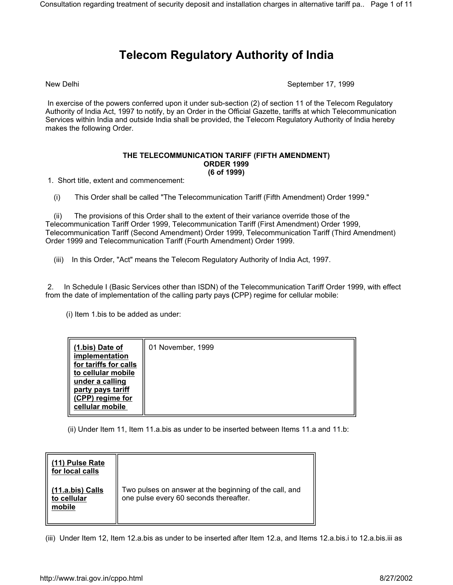## **Telecom Regulatory Authority of India**

New Delhi September 17, 1999

 In exercise of the powers conferred upon it under sub-section (2) of section 11 of the Telecom Regulatory Authority of India Act, 1997 to notify, by an Order in the Official Gazette, tariffs at which Telecommunication Services within India and outside India shall be provided, the Telecom Regulatory Authority of India hereby makes the following Order.

## **THE TELECOMMUNICATION TARIFF (FIFTH AMENDMENT) ORDER 1999 (6 of 1999)**

1. Short title, extent and commencement:

(i) This Order shall be called "The Telecommunication Tariff (Fifth Amendment) Order 1999."

 (ii) The provisions of this Order shall to the extent of their variance override those of the Telecommunication Tariff Order 1999, Telecommunication Tariff (First Amendment) Order 1999, Telecommunication Tariff (Second Amendment) Order 1999, Telecommunication Tariff (Third Amendment) Order 1999 and Telecommunication Tariff (Fourth Amendment) Order 1999.

(iii) In this Order, "Act" means the Telecom Regulatory Authority of India Act, 1997.

 2. In Schedule I (Basic Services other than ISDN) of the Telecommunication Tariff Order 1999, with effect from the date of implementation of the calling party pays **(**CPP) regime for cellular mobile:

(i) Item 1.bis to be added as under:

(ii) Under Item 11, Item 11.a.bis as under to be inserted between Items 11.a and 11.b:

| (11) Pulse Rate<br>for local calls        |                                                                                                  |
|-------------------------------------------|--------------------------------------------------------------------------------------------------|
| (11.a.bis) Calls<br>to cellular<br>mobile | Two pulses on answer at the beginning of the call, and<br>one pulse every 60 seconds thereafter. |

(iii) Under Item 12, Item 12.a.bis as under to be inserted after Item 12.a, and Items 12.a.bis.i to 12.a.bis.iii as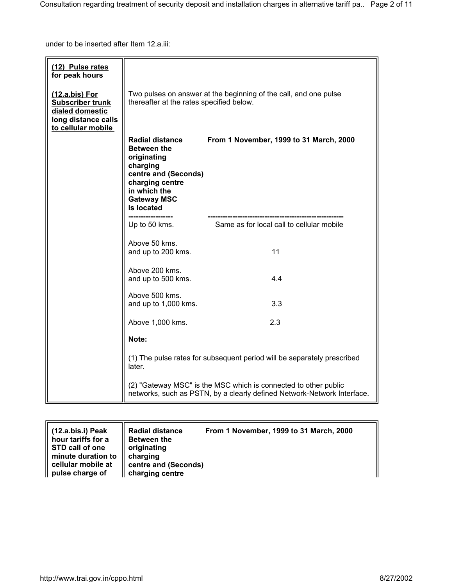under to be inserted after Item 12.a.iii:

| (12) Pulse rates<br>for peak hours                                                                        |                                                                                                                                                                               |                                           |  |
|-----------------------------------------------------------------------------------------------------------|-------------------------------------------------------------------------------------------------------------------------------------------------------------------------------|-------------------------------------------|--|
| (12.a.bis) For<br><b>Subscriber trunk</b><br>dialed domestic<br>long distance calls<br>to cellular mobile | Two pulses on answer at the beginning of the call, and one pulse<br>thereafter at the rates specified below.                                                                  |                                           |  |
|                                                                                                           | <b>Radial distance</b><br><b>Between the</b><br>originating<br>charging<br>centre and (Seconds)<br>charging centre<br>in which the<br><b>Gateway MSC</b><br><b>Is located</b> | From 1 November, 1999 to 31 March, 2000   |  |
|                                                                                                           | Up to 50 kms.                                                                                                                                                                 | Same as for local call to cellular mobile |  |
|                                                                                                           | Above 50 kms.<br>and up to 200 kms.                                                                                                                                           | 11                                        |  |
|                                                                                                           | Above 200 kms.<br>and up to 500 kms.                                                                                                                                          | 4.4                                       |  |
|                                                                                                           | Above 500 kms.<br>and up to 1,000 kms.                                                                                                                                        | 3.3                                       |  |
|                                                                                                           | Above 1,000 kms.                                                                                                                                                              | 2.3                                       |  |
|                                                                                                           | Note:                                                                                                                                                                         |                                           |  |
|                                                                                                           | (1) The pulse rates for subsequent period will be separately prescribed<br>later.                                                                                             |                                           |  |
|                                                                                                           | (2) "Gateway MSC" is the MSC which is connected to other public<br>networks, such as PSTN, by a clearly defined Network-Network Interface.                                    |                                           |  |

| (12.a.bis.i) Peak<br>hour tariffs for a | <b>Radial distance</b><br><b>Between the</b> | From 1 November, 1999 to 31 March, 2000 |
|-----------------------------------------|----------------------------------------------|-----------------------------------------|
| STD call of one<br>minute duration to   | originating<br>charging                      |                                         |
| cellular mobile at                      | centre and (Seconds)                         |                                         |
| pulse charge of                         | charging centre                              |                                         |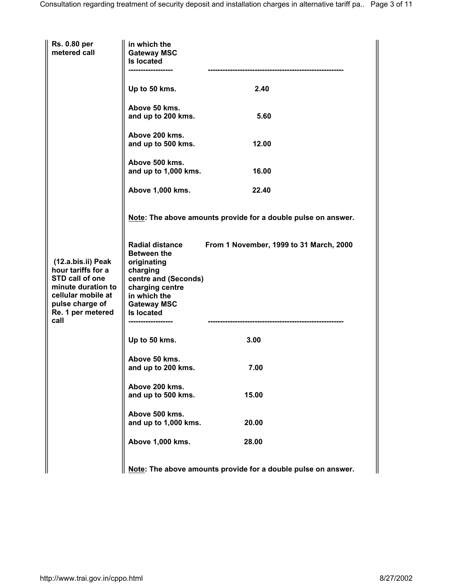| Rs. 0.80 per<br>metered call                                                                                                                            | in which the<br><b>Gateway MSC</b><br><b>Is located</b><br>----------------                                                                                                   |                                                               |  |
|---------------------------------------------------------------------------------------------------------------------------------------------------------|-------------------------------------------------------------------------------------------------------------------------------------------------------------------------------|---------------------------------------------------------------|--|
|                                                                                                                                                         | Up to 50 kms.                                                                                                                                                                 | 2.40                                                          |  |
|                                                                                                                                                         | Above 50 kms.<br>and up to 200 kms.                                                                                                                                           | 5.60                                                          |  |
|                                                                                                                                                         | Above 200 kms.<br>and up to 500 kms.                                                                                                                                          | 12.00                                                         |  |
|                                                                                                                                                         | Above 500 kms.<br>and up to 1,000 kms.                                                                                                                                        | 16.00                                                         |  |
|                                                                                                                                                         | Above 1,000 kms.                                                                                                                                                              | 22.40                                                         |  |
| (12.a.bis.ii) Peak<br>hour tariffs for a<br>STD call of one<br>minute duration to<br>cellular mobile at<br>pulse charge of<br>Re. 1 per metered<br>call | Note: The above amounts provide for a double pulse on answer.                                                                                                                 |                                                               |  |
|                                                                                                                                                         | <b>Radial distance</b><br><b>Between the</b><br>originating<br>charging<br>centre and (Seconds)<br>charging centre<br>in which the<br><b>Gateway MSC</b><br><b>Is located</b> | From 1 November, 1999 to 31 March, 2000                       |  |
|                                                                                                                                                         | Up to 50 kms.                                                                                                                                                                 | 3.00                                                          |  |
|                                                                                                                                                         | Above 50 kms.<br>and up to 200 kms.                                                                                                                                           | 7.00                                                          |  |
|                                                                                                                                                         | Above 200 kms.<br>and up to 500 kms.                                                                                                                                          | 15.00                                                         |  |
|                                                                                                                                                         | Above 500 kms.<br>and up to 1,000 kms.                                                                                                                                        | 20.00                                                         |  |
|                                                                                                                                                         | Above 1,000 kms.                                                                                                                                                              | 28.00                                                         |  |
|                                                                                                                                                         |                                                                                                                                                                               | Note: The above amounts provide for a double pulse on answer. |  |

 $\parallel$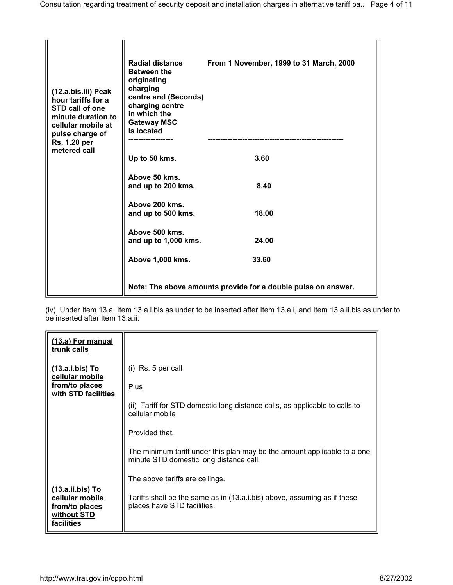| (12.a.bis.iii) Peak<br>hour tariffs for a<br>STD call of one<br>minute duration to<br>cellular mobile at<br>pulse charge of<br>Rs. 1.20 per<br>metered call | <b>Radial distance</b><br><b>Between the</b><br>originating<br>charging<br>centre and (Seconds)<br>charging centre<br>in which the<br><b>Gateway MSC</b><br><b>Is located</b> | From 1 November, 1999 to 31 March, 2000 |  |
|-------------------------------------------------------------------------------------------------------------------------------------------------------------|-------------------------------------------------------------------------------------------------------------------------------------------------------------------------------|-----------------------------------------|--|
|                                                                                                                                                             | Up to 50 kms.                                                                                                                                                                 | 3.60                                    |  |
|                                                                                                                                                             | Above 50 kms.<br>and up to 200 kms.                                                                                                                                           | 8.40                                    |  |
|                                                                                                                                                             | Above 200 kms.<br>and up to 500 kms.                                                                                                                                          | 18.00                                   |  |
|                                                                                                                                                             | Above 500 kms.<br>and up to 1,000 kms.                                                                                                                                        | 24.00                                   |  |
|                                                                                                                                                             | Above 1,000 kms.                                                                                                                                                              | 33.60                                   |  |
|                                                                                                                                                             | Note: The above amounts provide for a double pulse on answer.                                                                                                                 |                                         |  |

(iv) Under Item 13.a, Item 13.a.i.bis as under to be inserted after Item 13.a.i, and Item 13.a.ii.bis as under to be inserted after Item 13.a.ii:

| (13.a) For manual<br>trunk calls                                                   |                                                                                                                     |
|------------------------------------------------------------------------------------|---------------------------------------------------------------------------------------------------------------------|
| <u>(13.a.i.bis) To</u><br>cellular mobile<br>from/to places                        | $(i)$ Rs. 5 per call                                                                                                |
| with STD facilities                                                                | Plus                                                                                                                |
|                                                                                    | (ii) Tariff for STD domestic long distance calls, as applicable to calls to<br>cellular mobile                      |
|                                                                                    | Provided that,                                                                                                      |
|                                                                                    | The minimum tariff under this plan may be the amount applicable to a one<br>minute STD domestic long distance call. |
|                                                                                    | The above tariffs are ceilings.                                                                                     |
| (13.a.ii.bis) To<br>cellular mobile<br>from/to places<br>without STD<br>facilities | Tariffs shall be the same as in (13.a.i.bis) above, assuming as if these<br>places have STD facilities.             |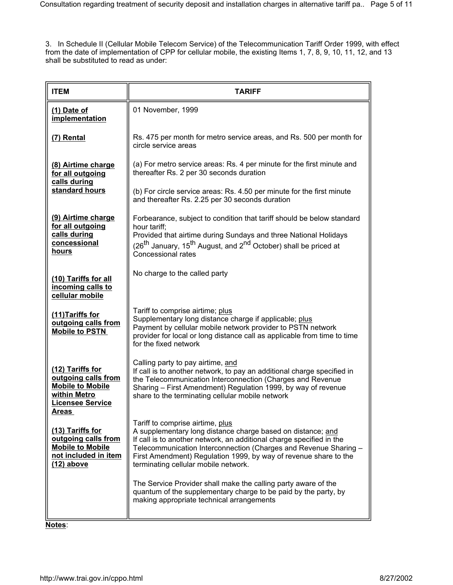3. In Schedule II (Cellular Mobile Telecom Service) of the Telecommunication Tariff Order 1999, with effect from the date of implementation of CPP for cellular mobile, the existing Items 1, 7, 8, 9, 10, 11, 12, and 13 shall be substituted to read as under:

| <b>ITEM</b>                                                                                                                   | <b>TARIFF</b>                                                                                                                                                                                                                                                                                                                                           |  |
|-------------------------------------------------------------------------------------------------------------------------------|---------------------------------------------------------------------------------------------------------------------------------------------------------------------------------------------------------------------------------------------------------------------------------------------------------------------------------------------------------|--|
| $(1)$ Date of<br>implementation                                                                                               | 01 November, 1999                                                                                                                                                                                                                                                                                                                                       |  |
| (7) Rental                                                                                                                    | Rs. 475 per month for metro service areas, and Rs. 500 per month for<br>circle service areas                                                                                                                                                                                                                                                            |  |
| (8) Airtime charge<br>for all outgoing<br>calls during                                                                        | (a) For metro service areas: Rs. 4 per minute for the first minute and<br>thereafter Rs. 2 per 30 seconds duration                                                                                                                                                                                                                                      |  |
| standard hours                                                                                                                | (b) For circle service areas: Rs. 4.50 per minute for the first minute<br>and thereafter Rs. 2.25 per 30 seconds duration                                                                                                                                                                                                                               |  |
| (9) Airtime charge<br>for all outgoing                                                                                        | Forbearance, subject to condition that tariff should be below standard<br>hour tariff;                                                                                                                                                                                                                                                                  |  |
| calls during<br>concessional<br>hours                                                                                         | Provided that airtime during Sundays and three National Holidays<br>(26 <sup>th</sup> January, 15 <sup>th</sup> August, and 2 <sup>nd</sup> October) shall be priced at<br><b>Concessional rates</b>                                                                                                                                                    |  |
| (10) Tariffs for all<br>incoming calls to<br>cellular mobile                                                                  | No charge to the called party                                                                                                                                                                                                                                                                                                                           |  |
| (11) Tariffs for<br>outgoing calls from<br><b>Mobile to PSTN</b>                                                              | Tariff to comprise airtime; plus<br>Supplementary long distance charge if applicable; plus<br>Payment by cellular mobile network provider to PSTN network<br>provider for local or long distance call as applicable from time to time<br>for the fixed network                                                                                          |  |
| (12) Tariffs for<br>outgoing calls from<br><b>Mobile to Mobile</b><br>within Metro<br><b>Licensee Service</b><br><u>Areas</u> | Calling party to pay airtime, and<br>If call is to another network, to pay an additional charge specified in<br>the Telecommunication Interconnection (Charges and Revenue<br>Sharing – First Amendment) Regulation 1999, by way of revenue<br>share to the terminating cellular mobile network                                                         |  |
| (13) Tariffs for<br>outgoing calls from<br><b>Mobile to Mobile</b><br>not included in item<br>$(12)$ above                    | Tariff to comprise airtime, plus<br>A supplementary long distance charge based on distance; and<br>If call is to another network, an additional charge specified in the<br>Telecommunication Interconnection (Charges and Revenue Sharing -<br>First Amendment) Regulation 1999, by way of revenue share to the<br>terminating cellular mobile network. |  |
|                                                                                                                               | The Service Provider shall make the calling party aware of the<br>quantum of the supplementary charge to be paid by the party, by<br>making appropriate technical arrangements                                                                                                                                                                          |  |

**Notes**: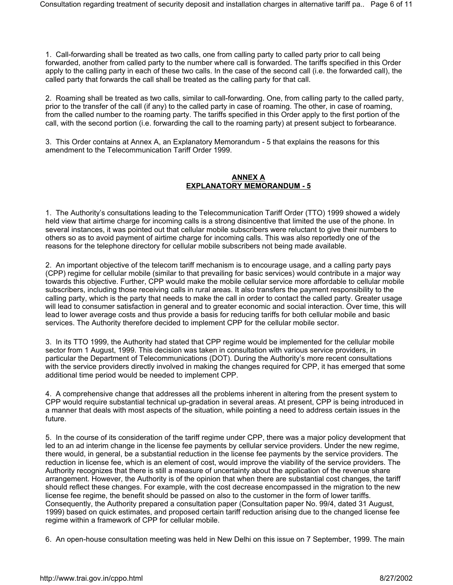1. Call-forwarding shall be treated as two calls, one from calling party to called party prior to call being forwarded, another from called party to the number where call is forwarded. The tariffs specified in this Order apply to the calling party in each of these two calls. In the case of the second call (i.e. the forwarded call), the called party that forwards the call shall be treated as the calling party for that call.

2. Roaming shall be treated as two calls, similar to call-forwarding. One, from calling party to the called party, prior to the transfer of the call (if any) to the called party in case of roaming. The other, in case of roaming, from the called number to the roaming party. The tariffs specified in this Order apply to the first portion of the call, with the second portion (i.e. forwarding the call to the roaming party) at present subject to forbearance.

3. This Order contains at Annex A, an Explanatory Memorandum - 5 that explains the reasons for this amendment to the Telecommunication Tariff Order 1999.

## **ANNEX A EXPLANATORY MEMORANDUM - 5**

1. The Authority's consultations leading to the Telecommunication Tariff Order (TTO) 1999 showed a widely held view that airtime charge for incoming calls is a strong disincentive that limited the use of the phone. In several instances, it was pointed out that cellular mobile subscribers were reluctant to give their numbers to others so as to avoid payment of airtime charge for incoming calls. This was also reportedly one of the reasons for the telephone directory for cellular mobile subscribers not being made available.

2. An important objective of the telecom tariff mechanism is to encourage usage, and a calling party pays (CPP) regime for cellular mobile (similar to that prevailing for basic services) would contribute in a major way towards this objective. Further, CPP would make the mobile cellular service more affordable to cellular mobile subscribers, including those receiving calls in rural areas. It also transfers the payment responsibility to the calling party, which is the party that needs to make the call in order to contact the called party. Greater usage will lead to consumer satisfaction in general and to greater economic and social interaction. Over time, this will lead to lower average costs and thus provide a basis for reducing tariffs for both cellular mobile and basic services. The Authority therefore decided to implement CPP for the cellular mobile sector.

3. In its TTO 1999, the Authority had stated that CPP regime would be implemented for the cellular mobile sector from 1 August, 1999. This decision was taken in consultation with various service providers, in particular the Department of Telecommunications (DOT). During the Authority's more recent consultations with the service providers directly involved in making the changes required for CPP, it has emerged that some additional time period would be needed to implement CPP.

4. A comprehensive change that addresses all the problems inherent in altering from the present system to CPP would require substantial technical up-gradation in several areas. At present, CPP is being introduced in a manner that deals with most aspects of the situation, while pointing a need to address certain issues in the future.

5. In the course of its consideration of the tariff regime under CPP, there was a major policy development that led to an ad interim change in the license fee payments by cellular service providers. Under the new regime, there would, in general, be a substantial reduction in the license fee payments by the service providers. The reduction in license fee, which is an element of cost, would improve the viability of the service providers. The Authority recognizes that there is still a measure of uncertainty about the application of the revenue share arrangement. However, the Authority is of the opinion that when there are substantial cost changes, the tariff should reflect these changes. For example, with the cost decrease encompassed in the migration to the new license fee regime, the benefit should be passed on also to the customer in the form of lower tariffs. Consequently, the Authority prepared a consultation paper (Consultation paper No. 99/4, dated 31 August, 1999) based on quick estimates, and proposed certain tariff reduction arising due to the changed license fee regime within a framework of CPP for cellular mobile.

6. An open-house consultation meeting was held in New Delhi on this issue on 7 September, 1999. The main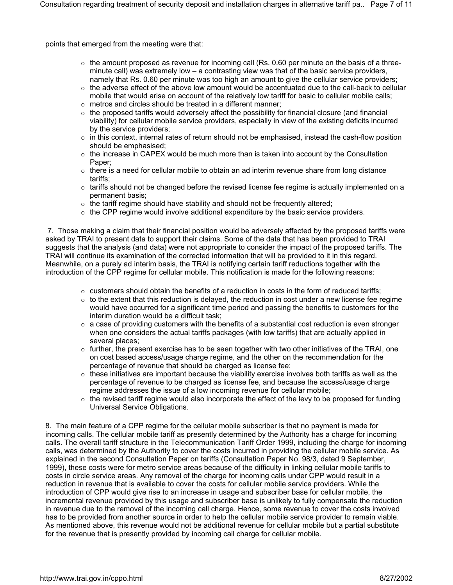points that emerged from the meeting were that:

- $\circ$  the amount proposed as revenue for incoming call (Rs. 0.60 per minute on the basis of a threeminute call) was extremely low – a contrasting view was that of the basic service providers, namely that Rs. 0.60 per minute was too high an amount to give the cellular service providers;
- $\circ$  the adverse effect of the above low amount would be accentuated due to the call-back to cellular mobile that would arise on account of the relatively low tariff for basic to cellular mobile calls;
- $\circ$  metros and circles should be treated in a different manner;
- $\circ$  the proposed tariffs would adversely affect the possibility for financial closure (and financial viability) for cellular mobile service providers, especially in view of the existing deficits incurred by the service providers;
- $\circ$  in this context, internal rates of return should not be emphasised, instead the cash-flow position should be emphasised;
- $\circ$  the increase in CAPEX would be much more than is taken into account by the Consultation Paper;
- $\circ$  there is a need for cellular mobile to obtain an ad interim revenue share from long distance tariffs;
- $\circ$  tariffs should not be changed before the revised license fee regime is actually implemented on a permanent basis;
- $\circ$  the tariff regime should have stability and should not be frequently altered;
- $\circ$  the CPP regime would involve additional expenditure by the basic service providers.

 7. Those making a claim that their financial position would be adversely affected by the proposed tariffs were asked by TRAI to present data to support their claims. Some of the data that has been provided to TRAI suggests that the analysis (and data) were not appropriate to consider the impact of the proposed tariffs. The TRAI will continue its examination of the corrected information that will be provided to it in this regard. Meanwhile, on a purely ad interim basis, the TRAI is notifying certain tariff reductions together with the introduction of the CPP regime for cellular mobile. This notification is made for the following reasons:

- $\circ$  customers should obtain the benefits of a reduction in costs in the form of reduced tariffs;
- $\circ$  to the extent that this reduction is delayed, the reduction in cost under a new license fee regime would have occurred for a significant time period and passing the benefits to customers for the interim duration would be a difficult task;
- $\circ$  a case of providing customers with the benefits of a substantial cost reduction is even stronger when one considers the actual tariffs packages (with low tariffs) that are actually applied in several places;
- $\circ$  further, the present exercise has to be seen together with two other initiatives of the TRAI, one on cost based access/usage charge regime, and the other on the recommendation for the percentage of revenue that should be charged as license fee;
- $\circ$  these initiatives are important because the viability exercise involves both tariffs as well as the percentage of revenue to be charged as license fee, and because the access/usage charge regime addresses the issue of a low incoming revenue for cellular mobile;
- $\circ$  the revised tariff regime would also incorporate the effect of the levy to be proposed for funding Universal Service Obligations.

8. The main feature of a CPP regime for the cellular mobile subscriber is that no payment is made for incoming calls. The cellular mobile tariff as presently determined by the Authority has a charge for incoming calls. The overall tariff structure in the Telecommunication Tariff Order 1999, including the charge for incoming calls, was determined by the Authority to cover the costs incurred in providing the cellular mobile service. As explained in the second Consultation Paper on tariffs (Consultation Paper No. 98/3, dated 9 September, 1999), these costs were for metro service areas because of the difficulty in linking cellular mobile tariffs to costs in circle service areas. Any removal of the charge for incoming calls under CPP would result in a reduction in revenue that is available to cover the costs for cellular mobile service providers. While the introduction of CPP would give rise to an increase in usage and subscriber base for cellular mobile, the incremental revenue provided by this usage and subscriber base is unlikely to fully compensate the reduction in revenue due to the removal of the incoming call charge. Hence, some revenue to cover the costs involved has to be provided from another source in order to help the cellular mobile service provider to remain viable. As mentioned above, this revenue would not be additional revenue for cellular mobile but a partial substitute for the revenue that is presently provided by incoming call charge for cellular mobile.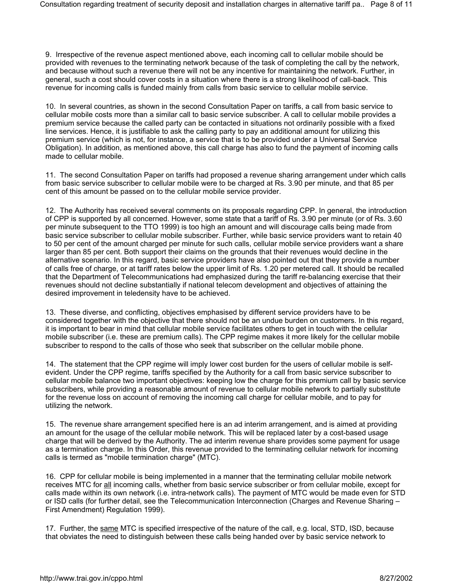9. Irrespective of the revenue aspect mentioned above, each incoming call to cellular mobile should be provided with revenues to the terminating network because of the task of completing the call by the network, and because without such a revenue there will not be any incentive for maintaining the network. Further, in general, such a cost should cover costs in a situation where there is a strong likelihood of call-back. This revenue for incoming calls is funded mainly from calls from basic service to cellular mobile service.

10. In several countries, as shown in the second Consultation Paper on tariffs, a call from basic service to cellular mobile costs more than a similar call to basic service subscriber. A call to cellular mobile provides a premium service because the called party can be contacted in situations not ordinarily possible with a fixed line services. Hence, it is justifiable to ask the calling party to pay an additional amount for utilizing this premium service (which is not, for instance, a service that is to be provided under a Universal Service Obligation). In addition, as mentioned above, this call charge has also to fund the payment of incoming calls made to cellular mobile.

11. The second Consultation Paper on tariffs had proposed a revenue sharing arrangement under which calls from basic service subscriber to cellular mobile were to be charged at Rs. 3.90 per minute, and that 85 per cent of this amount be passed on to the cellular mobile service provider.

12. The Authority has received several comments on its proposals regarding CPP. In general, the introduction of CPP is supported by all concerned. However, some state that a tariff of Rs. 3.90 per minute (or of Rs. 3.60 per minute subsequent to the TTO 1999) is too high an amount and will discourage calls being made from basic service subscriber to cellular mobile subscriber. Further, while basic service providers want to retain 40 to 50 per cent of the amount charged per minute for such calls, cellular mobile service providers want a share larger than 85 per cent. Both support their claims on the grounds that their revenues would decline in the alternative scenario. In this regard, basic service providers have also pointed out that they provide a number of calls free of charge, or at tariff rates below the upper limit of Rs. 1.20 per metered call. It should be recalled that the Department of Telecommunications had emphasized during the tariff re-balancing exercise that their revenues should not decline substantially if national telecom development and objectives of attaining the desired improvement in teledensity have to be achieved.

13. These diverse, and conflicting, objectives emphasised by different service providers have to be considered together with the objective that there should not be an undue burden on customers. In this regard, it is important to bear in mind that cellular mobile service facilitates others to get in touch with the cellular mobile subscriber (i.e. these are premium calls). The CPP regime makes it more likely for the cellular mobile subscriber to respond to the calls of those who seek that subscriber on the cellular mobile phone.

14. The statement that the CPP regime will imply lower cost burden for the users of cellular mobile is selfevident. Under the CPP regime, tariffs specified by the Authority for a call from basic service subscriber to cellular mobile balance two important objectives: keeping low the charge for this premium call by basic service subscribers, while providing a reasonable amount of revenue to cellular mobile network to partially substitute for the revenue loss on account of removing the incoming call charge for cellular mobile, and to pay for utilizing the network.

15. The revenue share arrangement specified here is an ad interim arrangement, and is aimed at providing an amount for the usage of the cellular mobile network. This will be replaced later by a cost-based usage charge that will be derived by the Authority. The ad interim revenue share provides some payment for usage as a termination charge. In this Order, this revenue provided to the terminating cellular network for incoming calls is termed as "mobile termination charge" (MTC).

16. CPP for cellular mobile is being implemented in a manner that the terminating cellular mobile network receives MTC for all incoming calls, whether from basic service subscriber or from cellular mobile, except for calls made within its own network (i.e. intra-network calls). The payment of MTC would be made even for STD or ISD calls (for further detail, see the Telecommunication Interconnection (Charges and Revenue Sharing – First Amendment) Regulation 1999).

17. Further, the same MTC is specified irrespective of the nature of the call, e.g. local, STD, ISD, because that obviates the need to distinguish between these calls being handed over by basic service network to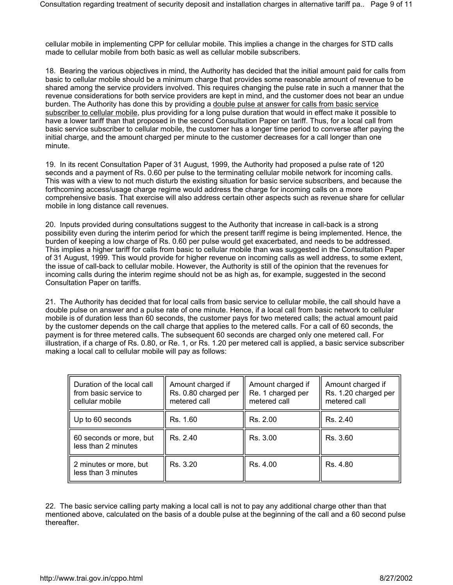cellular mobile in implementing CPP for cellular mobile. This implies a change in the charges for STD calls made to cellular mobile from both basic as well as cellular mobile subscribers.

18. Bearing the various objectives in mind, the Authority has decided that the initial amount paid for calls from basic to cellular mobile should be a minimum charge that provides some reasonable amount of revenue to be shared among the service providers involved. This requires changing the pulse rate in such a manner that the revenue considerations for both service providers are kept in mind, and the customer does not bear an undue burden. The Authority has done this by providing a double pulse at answer for calls from basic service subscriber to cellular mobile, plus providing for a long pulse duration that would in effect make it possible to have a lower tariff than that proposed in the second Consultation Paper on tariff. Thus, for a local call from basic service subscriber to cellular mobile, the customer has a longer time period to converse after paying the initial charge, and the amount charged per minute to the customer decreases for a call longer than one minute.

19. In its recent Consultation Paper of 31 August, 1999, the Authority had proposed a pulse rate of 120 seconds and a payment of Rs. 0.60 per pulse to the terminating cellular mobile network for incoming calls. This was with a view to not much disturb the existing situation for basic service subscribers, and because the forthcoming access/usage charge regime would address the charge for incoming calls on a more comprehensive basis. That exercise will also address certain other aspects such as revenue share for cellular mobile in long distance call revenues.

20. Inputs provided during consultations suggest to the Authority that increase in call-back is a strong possibility even during the interim period for which the present tariff regime is being implemented. Hence, the burden of keeping a low charge of Rs. 0.60 per pulse would get exacerbated, and needs to be addressed. This implies a higher tariff for calls from basic to cellular mobile than was suggested in the Consultation Paper of 31 August, 1999. This would provide for higher revenue on incoming calls as well address, to some extent, the issue of call-back to cellular mobile. However, the Authority is still of the opinion that the revenues for incoming calls during the interim regime should not be as high as, for example, suggested in the second Consultation Paper on tariffs.

21. The Authority has decided that for local calls from basic service to cellular mobile, the call should have a double pulse on answer and a pulse rate of one minute. Hence, if a local call from basic network to cellular mobile is of duration less than 60 seconds, the customer pays for two metered calls; the actual amount paid by the customer depends on the call charge that applies to the metered calls. For a call of 60 seconds, the payment is for three metered calls. The subsequent 60 seconds are charged only one metered call. For illustration, if a charge of Rs. 0.80, or Re. 1, or Rs. 1.20 per metered call is applied, a basic service subscriber making a local call to cellular mobile will pay as follows:

| Duration of the local call<br>from basic service to<br>cellular mobile | Amount charged if<br>Rs. 0.80 charged per<br>metered call | Amount charged if<br>Re. 1 charged per<br>metered call | Amount charged if<br>Rs. 1.20 charged per<br>metered call |
|------------------------------------------------------------------------|-----------------------------------------------------------|--------------------------------------------------------|-----------------------------------------------------------|
| Up to 60 seconds                                                       | Rs. 1.60                                                  | Rs. 2.00                                               | Rs. 2.40                                                  |
| 60 seconds or more, but<br>less than 2 minutes                         | Rs. 2.40                                                  | Rs. 3.00                                               | Rs. 3.60                                                  |
| 2 minutes or more, but<br>less than 3 minutes                          | Rs. 3.20                                                  | Rs. 4.00                                               | Rs. 4.80                                                  |

22. The basic service calling party making a local call is not to pay any additional charge other than that mentioned above, calculated on the basis of a double pulse at the beginning of the call and a 60 second pulse thereafter.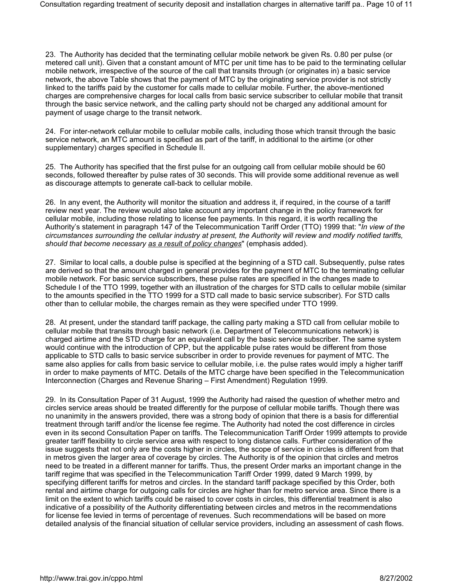23. The Authority has decided that the terminating cellular mobile network be given Rs. 0.80 per pulse (or metered call unit). Given that a constant amount of MTC per unit time has to be paid to the terminating cellular mobile network, irrespective of the source of the call that transits through (or originates in) a basic service network, the above Table shows that the payment of MTC by the originating service provider is not strictly linked to the tariffs paid by the customer for calls made to cellular mobile. Further, the above-mentioned charges are comprehensive charges for local calls from basic service subscriber to cellular mobile that transit through the basic service network, and the calling party should not be charged any additional amount for payment of usage charge to the transit network.

24. For inter-network cellular mobile to cellular mobile calls, including those which transit through the basic service network, an MTC amount is specified as part of the tariff, in additional to the airtime (or other supplementary) charges specified in Schedule II.

25. The Authority has specified that the first pulse for an outgoing call from cellular mobile should be 60 seconds, followed thereafter by pulse rates of 30 seconds. This will provide some additional revenue as well as discourage attempts to generate call-back to cellular mobile.

26. In any event, the Authority will monitor the situation and address it, if required, in the course of a tariff review next year. The review would also take account any important change in the policy framework for cellular mobile, including those relating to license fee payments. In this regard, it is worth recalling the Authority's statement in paragraph 147 of the Telecommunication Tariff Order (TTO) 1999 that: "*In view of the circumstances surrounding the cellular industry at present, the Authority will review and modify notified tariffs, should that become necessary as a result of policy changes*" (emphasis added).

27. Similar to local calls, a double pulse is specified at the beginning of a STD call. Subsequently, pulse rates are derived so that the amount charged in general provides for the payment of MTC to the terminating cellular mobile network. For basic service subscribers, these pulse rates are specified in the changes made to Schedule I of the TTO 1999, together with an illustration of the charges for STD calls to cellular mobile (similar to the amounts specified in the TTO 1999 for a STD call made to basic service subscriber). For STD calls other than to cellular mobile, the charges remain as they were specified under TTO 1999.

28. At present, under the standard tariff package, the calling party making a STD call from cellular mobile to cellular mobile that transits through basic network (i.e. Department of Telecommunications network) is charged airtime and the STD charge for an equivalent call by the basic service subscriber. The same system would continue with the introduction of CPP, but the applicable pulse rates would be different from those applicable to STD calls to basic service subscriber in order to provide revenues for payment of MTC. The same also applies for calls from basic service to cellular mobile, i.e. the pulse rates would imply a higher tariff in order to make payments of MTC. Details of the MTC charge have been specified in the Telecommunication Interconnection (Charges and Revenue Sharing – First Amendment) Regulation 1999.

29. In its Consultation Paper of 31 August, 1999 the Authority had raised the question of whether metro and circles service areas should be treated differently for the purpose of cellular mobile tariffs. Though there was no unanimity in the answers provided, there was a strong body of opinion that there is a basis for differential treatment through tariff and/or the license fee regime. The Authority had noted the cost difference in circles even in its second Consultation Paper on tariffs. The Telecommunication Tariff Order 1999 attempts to provide greater tariff flexibility to circle service area with respect to long distance calls. Further consideration of the issue suggests that not only are the costs higher in circles, the scope of service in circles is different from that in metros given the larger area of coverage by circles. The Authority is of the opinion that circles and metros need to be treated in a different manner for tariffs. Thus, the present Order marks an important change in the tariff regime that was specified in the Telecommunication Tariff Order 1999, dated 9 March 1999, by specifying different tariffs for metros and circles. In the standard tariff package specified by this Order, both rental and airtime charge for outgoing calls for circles are higher than for metro service area. Since there is a limit on the extent to which tariffs could be raised to cover costs in circles, this differential treatment is also indicative of a possibility of the Authority differentiating between circles and metros in the recommendations for license fee levied in terms of percentage of revenues. Such recommendations will be based on more detailed analysis of the financial situation of cellular service providers, including an assessment of cash flows.